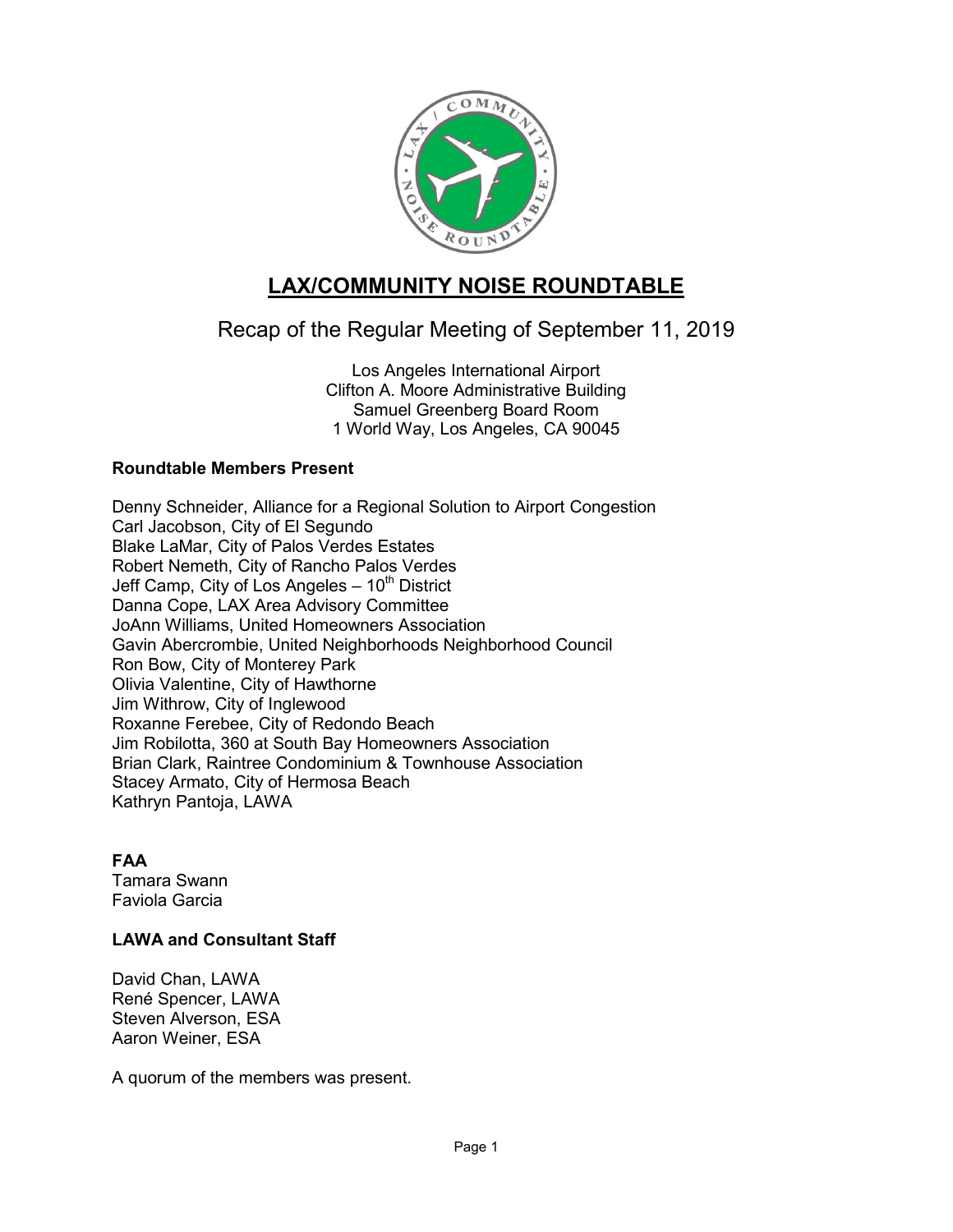

# **LAX/COMMUNITY NOISE ROUNDTABLE**

## Recap of the Regular Meeting of September 11, 2019

Los Angeles International Airport Clifton A. Moore Administrative Building Samuel Greenberg Board Room 1 World Way, Los Angeles, CA 90045

## **Roundtable Members Present**

Denny Schneider, Alliance for a Regional Solution to Airport Congestion Carl Jacobson, City of El Segundo Blake LaMar, City of Palos Verdes Estates Robert Nemeth, City of Rancho Palos Verdes Jeff Camp, City of Los Angeles  $-10^{th}$  District Danna Cope, LAX Area Advisory Committee JoAnn Williams, United Homeowners Association Gavin Abercrombie, United Neighborhoods Neighborhood Council Ron Bow, City of Monterey Park Olivia Valentine, City of Hawthorne Jim Withrow, City of Inglewood Roxanne Ferebee, City of Redondo Beach Jim Robilotta, 360 at South Bay Homeowners Association Brian Clark, Raintree Condominium & Townhouse Association Stacey Armato, City of Hermosa Beach Kathryn Pantoja, LAWA

#### **FAA**

Tamara Swann Faviola Garcia

## **LAWA and Consultant Staff**

David Chan, LAWA René Spencer, LAWA Steven Alverson, ESA Aaron Weiner, ESA

A quorum of the members was present.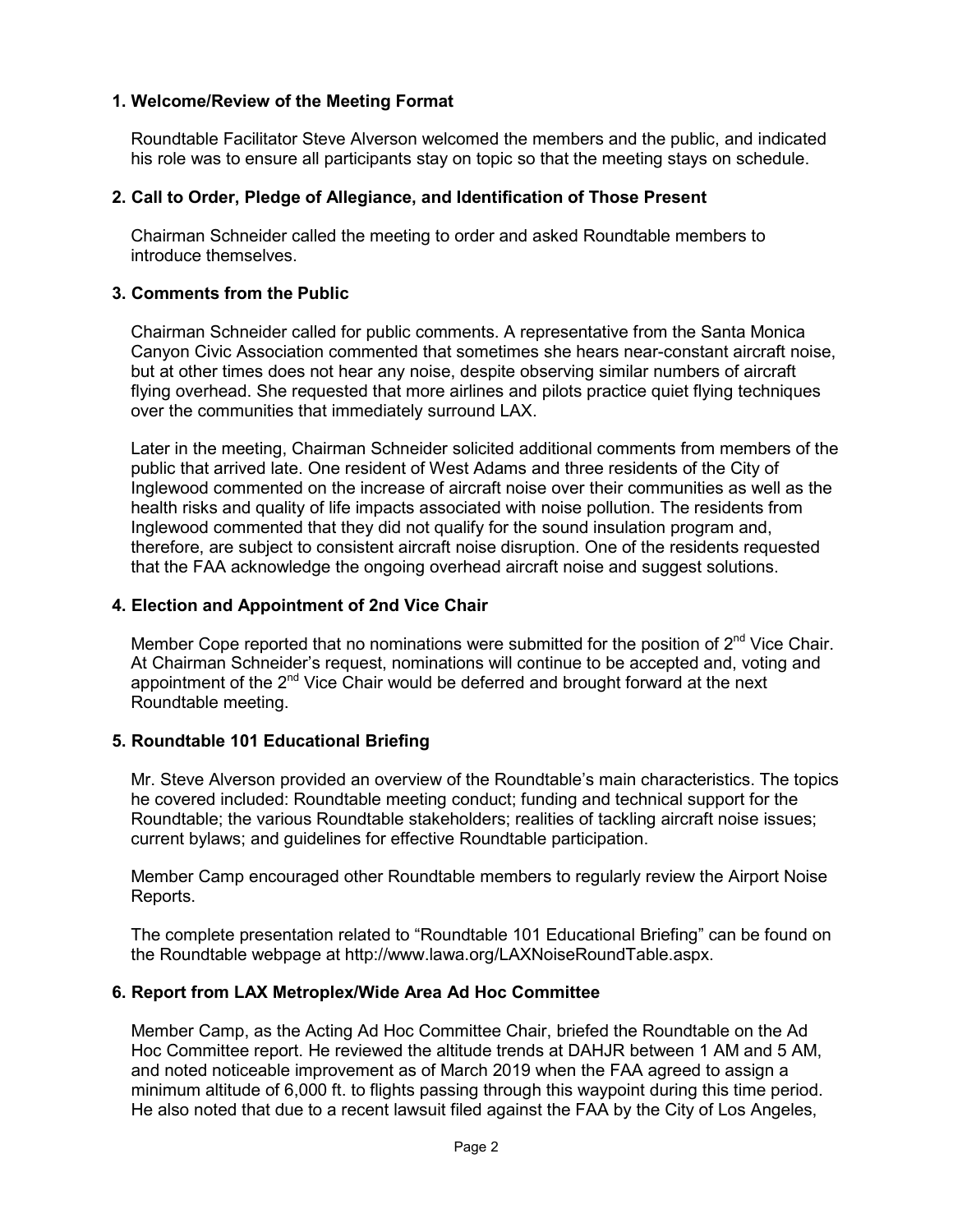## **1. Welcome/Review of the Meeting Format**

Roundtable Facilitator Steve Alverson welcomed the members and the public, and indicated his role was to ensure all participants stay on topic so that the meeting stays on schedule.

#### **2. Call to Order, Pledge of Allegiance, and Identification of Those Present**

Chairman Schneider called the meeting to order and asked Roundtable members to introduce themselves.

## **3. Comments from the Public**

Chairman Schneider called for public comments. A representative from the Santa Monica Canyon Civic Association commented that sometimes she hears near-constant aircraft noise, but at other times does not hear any noise, despite observing similar numbers of aircraft flying overhead. She requested that more airlines and pilots practice quiet flying techniques over the communities that immediately surround LAX.

Later in the meeting, Chairman Schneider solicited additional comments from members of the public that arrived late. One resident of West Adams and three residents of the City of Inglewood commented on the increase of aircraft noise over their communities as well as the health risks and quality of life impacts associated with noise pollution. The residents from Inglewood commented that they did not qualify for the sound insulation program and, therefore, are subject to consistent aircraft noise disruption. One of the residents requested that the FAA acknowledge the ongoing overhead aircraft noise and suggest solutions.

#### **4. Election and Appointment of 2nd Vice Chair**

Member Cope reported that no nominations were submitted for the position of  $2^{nd}$  Vice Chair. At Chairman Schneider's request, nominations will continue to be accepted and, voting and appointment of the  $2^{nd}$  Vice Chair would be deferred and brought forward at the next Roundtable meeting.

#### **5. Roundtable 101 Educational Briefing**

Mr. Steve Alverson provided an overview of the Roundtable's main characteristics. The topics he covered included: Roundtable meeting conduct; funding and technical support for the Roundtable; the various Roundtable stakeholders; realities of tackling aircraft noise issues; current bylaws; and guidelines for effective Roundtable participation.

Member Camp encouraged other Roundtable members to regularly review the Airport Noise Reports.

The complete presentation related to "Roundtable 101 Educational Briefing" can be found on the Roundtable webpage at [http://www.lawa.org/LAXNoiseRoundTable.aspx.](http://www.lawa.org/LAXNoiseRoundTable.aspx)

#### **6. Report from LAX Metroplex/Wide Area Ad Hoc Committee**

Member Camp, as the Acting Ad Hoc Committee Chair, briefed the Roundtable on the Ad Hoc Committee report. He reviewed the altitude trends at DAHJR between 1 AM and 5 AM, and noted noticeable improvement as of March 2019 when the FAA agreed to assign a minimum altitude of 6,000 ft. to flights passing through this waypoint during this time period. He also noted that due to a recent lawsuit filed against the FAA by the City of Los Angeles,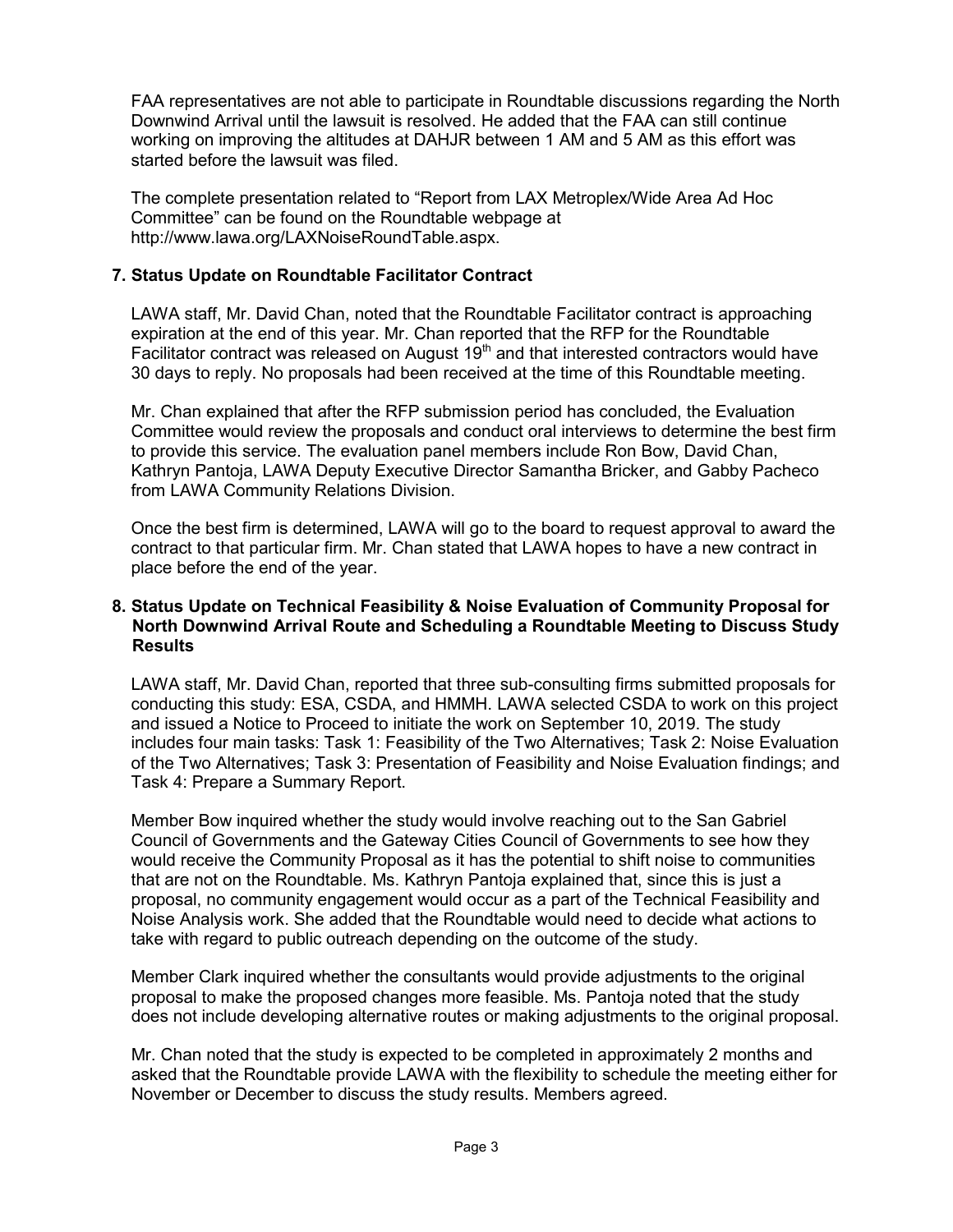FAA representatives are not able to participate in Roundtable discussions regarding the North Downwind Arrival until the lawsuit is resolved. He added that the FAA can still continue working on improving the altitudes at DAHJR between 1 AM and 5 AM as this effort was started before the lawsuit was filed.

The complete presentation related to "Report from LAX Metroplex/Wide Area Ad Hoc Committee" can be found on the Roundtable webpage at [http://www.lawa.org/LAXNoiseRoundTable.aspx.](http://www.lawa.org/LAXNoiseRoundTable.aspx)

## **7. Status Update on Roundtable Facilitator Contract**

LAWA staff, Mr. David Chan, noted that the Roundtable Facilitator contract is approaching expiration at the end of this year. Mr. Chan reported that the RFP for the Roundtable Facilitator contract was released on August  $19<sup>th</sup>$  and that interested contractors would have 30 days to reply. No proposals had been received at the time of this Roundtable meeting.

Mr. Chan explained that after the RFP submission period has concluded, the Evaluation Committee would review the proposals and conduct oral interviews to determine the best firm to provide this service. The evaluation panel members include Ron Bow, David Chan, Kathryn Pantoja, LAWA Deputy Executive Director Samantha Bricker, and Gabby Pacheco from LAWA Community Relations Division.

Once the best firm is determined, LAWA will go to the board to request approval to award the contract to that particular firm. Mr. Chan stated that LAWA hopes to have a new contract in place before the end of the year.

#### **8. Status Update on Technical Feasibility & Noise Evaluation of Community Proposal for North Downwind Arrival Route and Scheduling a Roundtable Meeting to Discuss Study Results**

LAWA staff, Mr. David Chan, reported that three sub-consulting firms submitted proposals for conducting this study: ESA, CSDA, and HMMH. LAWA selected CSDA to work on this project and issued a Notice to Proceed to initiate the work on September 10, 2019. The study includes four main tasks: Task 1: Feasibility of the Two Alternatives; Task 2: Noise Evaluation of the Two Alternatives; Task 3: Presentation of Feasibility and Noise Evaluation findings; and Task 4: Prepare a Summary Report.

Member Bow inquired whether the study would involve reaching out to the San Gabriel Council of Governments and the Gateway Cities Council of Governments to see how they would receive the Community Proposal as it has the potential to shift noise to communities that are not on the Roundtable. Ms. Kathryn Pantoja explained that, since this is just a proposal, no community engagement would occur as a part of the Technical Feasibility and Noise Analysis work. She added that the Roundtable would need to decide what actions to take with regard to public outreach depending on the outcome of the study.

Member Clark inquired whether the consultants would provide adjustments to the original proposal to make the proposed changes more feasible. Ms. Pantoja noted that the study does not include developing alternative routes or making adjustments to the original proposal.

Mr. Chan noted that the study is expected to be completed in approximately 2 months and asked that the Roundtable provide LAWA with the flexibility to schedule the meeting either for November or December to discuss the study results. Members agreed.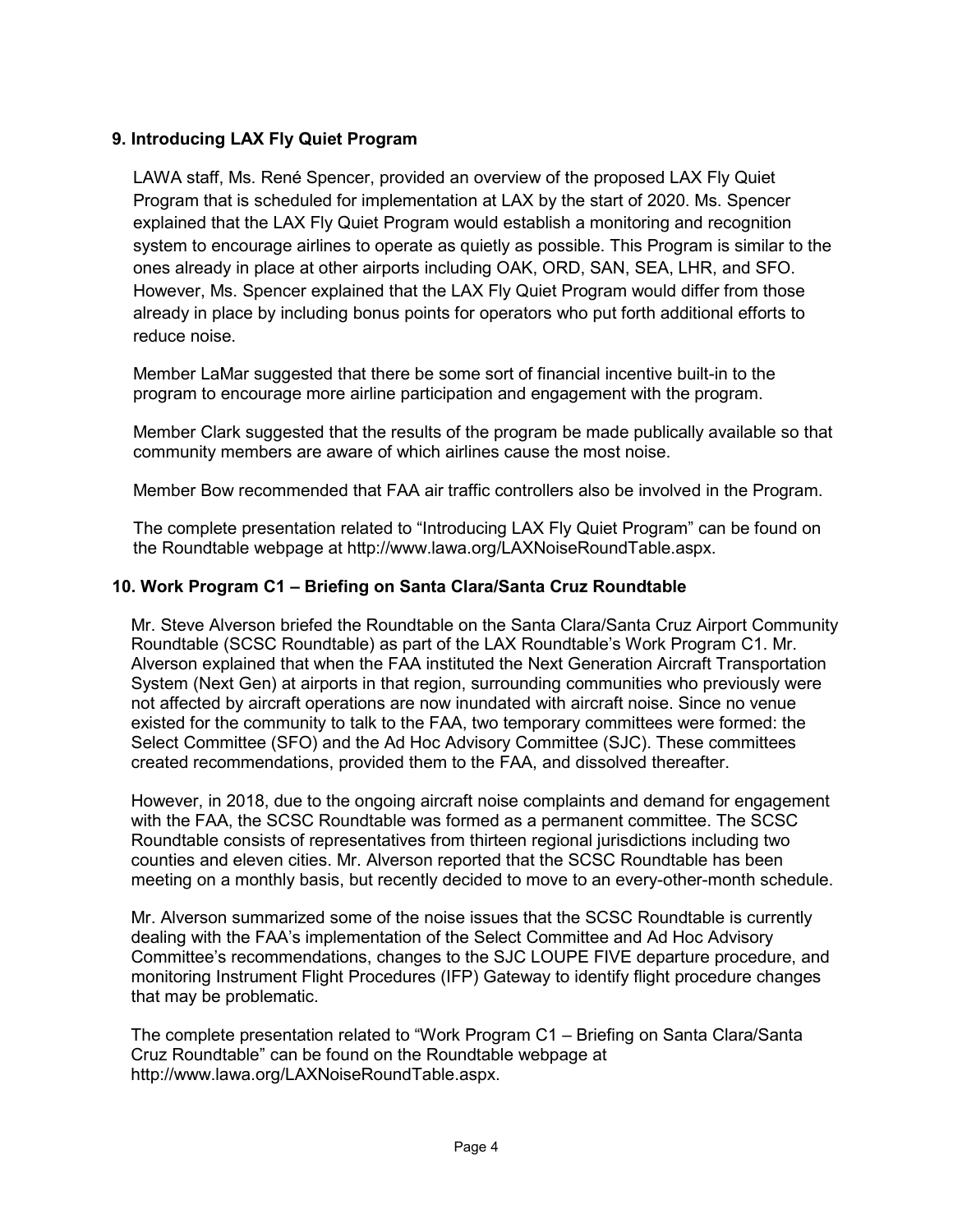## **9. Introducing LAX Fly Quiet Program**

LAWA staff, Ms. René Spencer, provided an overview of the proposed LAX Fly Quiet Program that is scheduled for implementation at LAX by the start of 2020. Ms. Spencer explained that the LAX Fly Quiet Program would establish a monitoring and recognition system to encourage airlines to operate as quietly as possible. This Program is similar to the ones already in place at other airports including OAK, ORD, SAN, SEA, LHR, and SFO. However, Ms. Spencer explained that the LAX Fly Quiet Program would differ from those already in place by including bonus points for operators who put forth additional efforts to reduce noise.

Member LaMar suggested that there be some sort of financial incentive built-in to the program to encourage more airline participation and engagement with the program.

Member Clark suggested that the results of the program be made publically available so that community members are aware of which airlines cause the most noise.

Member Bow recommended that FAA air traffic controllers also be involved in the Program.

The complete presentation related to "Introducing LAX Fly Quiet Program" can be found on the Roundtable webpage at [http://www.lawa.org/LAXNoiseRoundTable.aspx.](http://www.lawa.org/LAXNoiseRoundTable.aspx)

## **10. Work Program C1 – Briefing on Santa Clara/Santa Cruz Roundtable**

Mr. Steve Alverson briefed the Roundtable on the Santa Clara/Santa Cruz Airport Community Roundtable (SCSC Roundtable) as part of the LAX Roundtable's Work Program C1. Mr. Alverson explained that when the FAA instituted the Next Generation Aircraft Transportation System (Next Gen) at airports in that region, surrounding communities who previously were not affected by aircraft operations are now inundated with aircraft noise. Since no venue existed for the community to talk to the FAA, two temporary committees were formed: the Select Committee (SFO) and the Ad Hoc Advisory Committee (SJC). These committees created recommendations, provided them to the FAA, and dissolved thereafter.

However, in 2018, due to the ongoing aircraft noise complaints and demand for engagement with the FAA, the SCSC Roundtable was formed as a permanent committee. The SCSC Roundtable consists of representatives from thirteen regional jurisdictions including two counties and eleven cities. Mr. Alverson reported that the SCSC Roundtable has been meeting on a monthly basis, but recently decided to move to an every-other-month schedule.

Mr. Alverson summarized some of the noise issues that the SCSC Roundtable is currently dealing with the FAA's implementation of the Select Committee and Ad Hoc Advisory Committee's recommendations, changes to the SJC LOUPE FIVE departure procedure, and monitoring Instrument Flight Procedures (IFP) Gateway to identify flight procedure changes that may be problematic.

The complete presentation related to "Work Program C1 – Briefing on Santa Clara/Santa Cruz Roundtable" can be found on the Roundtable webpage at [http://www.lawa.org/LAXNoiseRoundTable.aspx.](http://www.lawa.org/LAXNoiseRoundTable.aspx)